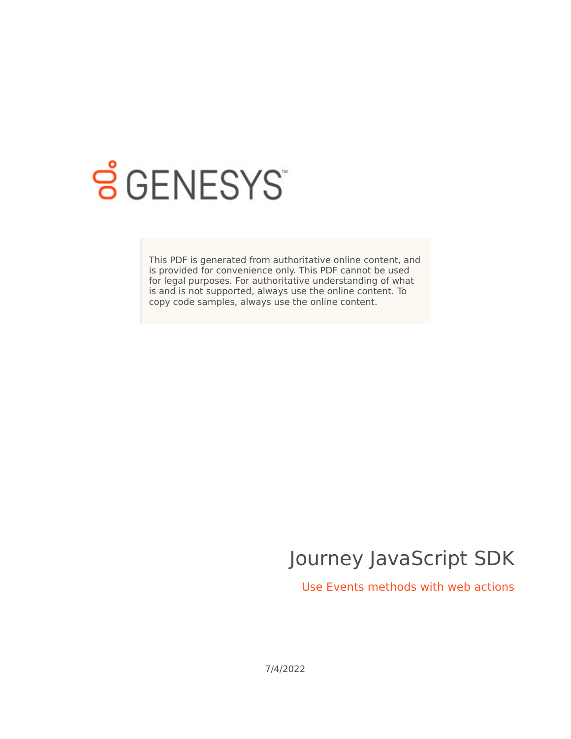

# **S** GENESYS

This PDF is generated from authoritative online content, and is provided for convenience only. This PDF cannot be used for legal purposes. For authoritative understanding of what is and is not supported, always use the online content. To copy code samples, always use the online content.

# Journey JavaScript SDK

Use Events methods with web actions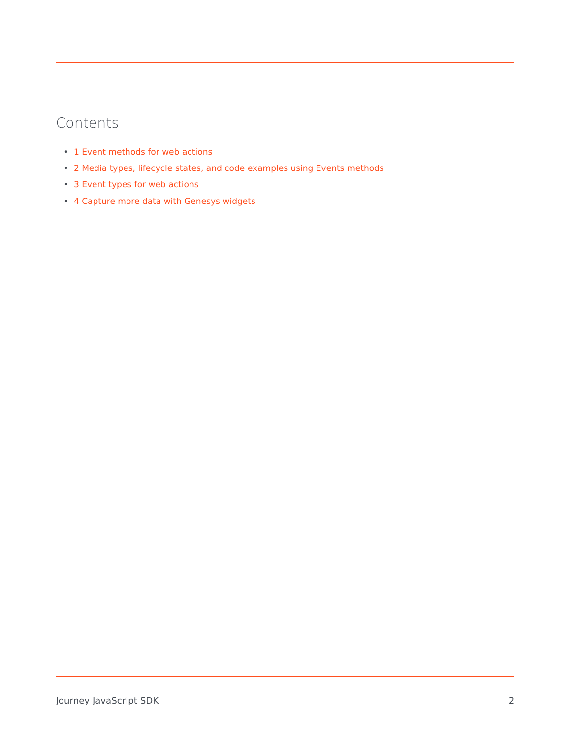### Contents

- 1 [Event methods for web actions](#page-2-0)
- 2 [Media types, lifecycle states, and code examples using Events methods](#page-2-1)
- 3 [Event types for web actions](#page-3-0)
- 4 [Capture more data with Genesys widgets](#page-3-1)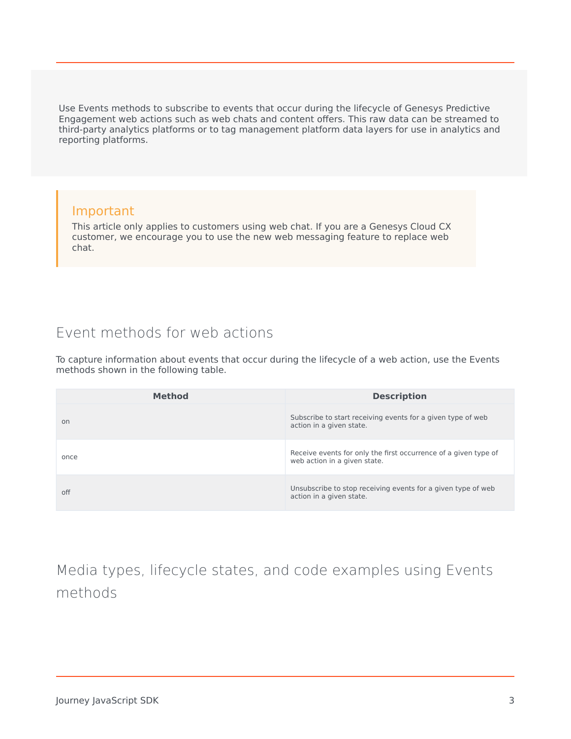Use Events methods to subscribe to events that occur during the lifecycle of Genesys Predictive Engagement web actions such as web chats and content offers. This raw data can be streamed to third-party analytics platforms or to tag management platform data layers for use in analytics and reporting platforms.

#### Important

This article only applies to customers using web chat. If you are a Genesys Cloud CX customer, we encourage you to use the new web messaging feature to replace web chat.

### <span id="page-2-0"></span>Event methods for web actions

To capture information about events that occur during the lifecycle of a web action, use the Events methods shown in the following table.

| <b>Method</b> | <b>Description</b>                                                                              |
|---------------|-------------------------------------------------------------------------------------------------|
| on            | Subscribe to start receiving events for a given type of web<br>action in a given state.         |
| once          | Receive events for only the first occurrence of a given type of<br>web action in a given state. |
| off           | Unsubscribe to stop receiving events for a given type of web<br>action in a given state.        |

<span id="page-2-1"></span>Media types, lifecycle states, and code examples using Events methods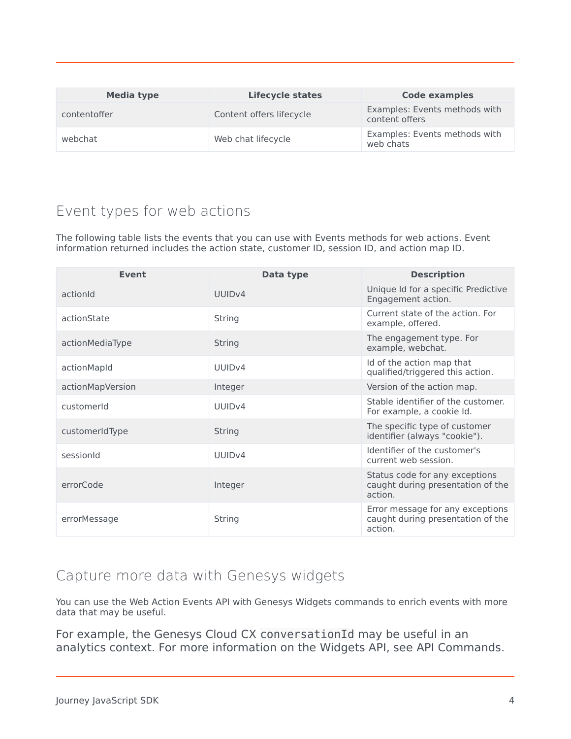| Media type   | <b>Lifecycle states</b>  | <b>Code examples</b>                            |
|--------------|--------------------------|-------------------------------------------------|
| contentoffer | Content offers lifecycle | Examples: Events methods with<br>content offers |
| webchat      | Web chat lifecycle       | Examples: Events methods with<br>web chats      |

## <span id="page-3-0"></span>Event types for web actions

The following table lists the events that you can use with Events methods for web actions. Event information returned includes the action state, customer ID, session ID, and action map ID.

| <b>Event</b>     | Data type          | <b>Description</b>                                                               |
|------------------|--------------------|----------------------------------------------------------------------------------|
| actionId         | UUID <sub>v4</sub> | Unique Id for a specific Predictive<br>Engagement action.                        |
| actionState      | String             | Current state of the action. For<br>example, offered.                            |
| actionMediaType  | String             | The engagement type. For<br>example, webchat.                                    |
| actionMapId      | UUID <sub>v4</sub> | Id of the action map that<br>qualified/triggered this action.                    |
| actionMapVersion | Integer            | Version of the action map.                                                       |
| customerId       | UUID <sub>v4</sub> | Stable identifier of the customer.<br>For example, a cookie Id.                  |
| customerIdType   | String             | The specific type of customer<br>identifier (always "cookie").                   |
| sessionId        | UUIDv4             | Identifier of the customer's<br>current web session.                             |
| errorCode        | Integer            | Status code for any exceptions<br>caught during presentation of the<br>action.   |
| errorMessage     | String             | Error message for any exceptions<br>caught during presentation of the<br>action. |

#### <span id="page-3-1"></span>Capture more data with Genesys widgets

You can use the Web Action Events API with Genesys Widgets commands to enrich events with more data that may be useful.

For example, the Genesys Cloud CX conversationId may be useful in an analytics context. For more information on the Widgets API, see API Commands.